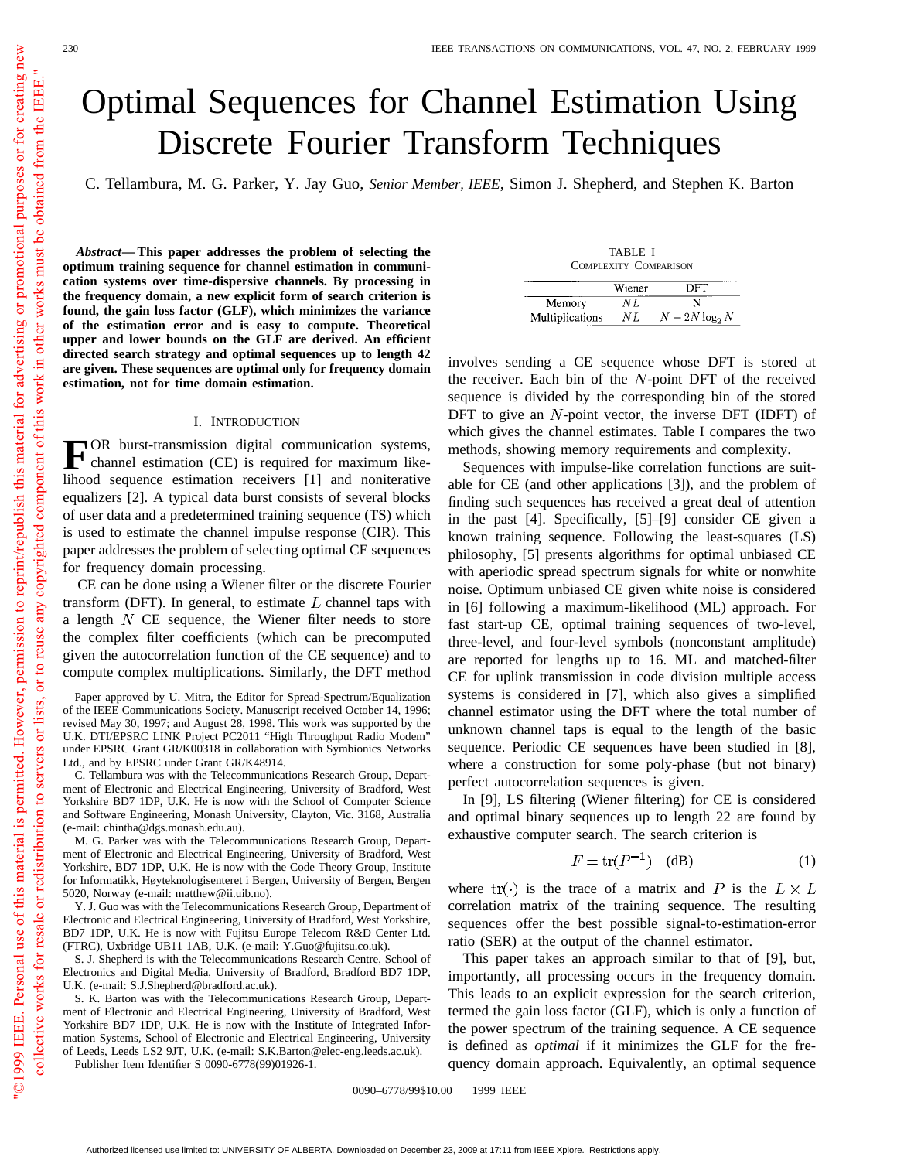# Optimal Sequences for Channel Estimation Using Discrete Fourier Transform Techniques

C. Tellambura, M. G. Parker, Y. Jay Guo, *Senior Member, IEEE*, Simon J. Shepherd, and Stephen K. Barton

*Abstract—***This paper addresses the problem of selecting the optimum training sequence for channel estimation in communication systems over time-dispersive channels. By processing in the frequency domain, a new explicit form of search criterion is found, the gain loss factor (GLF), which minimizes the variance of the estimation error and is easy to compute. Theoretical upper and lower bounds on the GLF are derived. An efficient directed search strategy and optimal sequences up to length 42 are given. These sequences are optimal only for frequency domain estimation, not for time domain estimation.**

## I. INTRODUCTION

**FOR** burst-transmission digital communication systems,<br>channel estimation (CE) is required for maximum likelihood sequence estimation receivers [1] and noniterative equalizers [2]. A typical data burst consists of several blocks of user data and a predetermined training sequence (TS) which is used to estimate the channel impulse response (CIR). This paper addresses the problem of selecting optimal CE sequences for frequency domain processing.

CE can be done using a Wiener filter or the discrete Fourier transform (DFT). In general, to estimate  $L$  channel taps with a length  $N$  CE sequence, the Wiener filter needs to store the complex filter coefficients (which can be precomputed given the autocorrelation function of the CE sequence) and to compute complex multiplications. Similarly, the DFT method

Paper approved by U. Mitra, the Editor for Spread-Spectrum/Equalization of the IEEE Communications Society. Manuscript received October 14, 1996; revised May 30, 1997; and August 28, 1998. This work was supported by the U.K. DTI/EPSRC LINK Project PC2011 "High Throughput Radio Modem" under EPSRC Grant GR/K00318 in collaboration with Symbionics Networks Ltd., and by EPSRC under Grant GR/K48914.

C. Tellambura was with the Telecommunications Research Group, Department of Electronic and Electrical Engineering, University of Bradford, West Yorkshire BD7 1DP, U.K. He is now with the School of Computer Science and Software Engineering, Monash University, Clayton, Vic. 3168, Australia (e-mail: chintha@dgs.monash.edu.au).

M. G. Parker was with the Telecommunications Research Group, Department of Electronic and Electrical Engineering, University of Bradford, West Yorkshire, BD7 1DP, U.K. He is now with the Code Theory Group, Institute for Informatikk, Høyteknologisenteret i Bergen, University of Bergen, Bergen 5020, Norway (e-mail: matthew@ii.uib.no).

Y. J. Guo was with the Telecommunications Research Group, Department of Electronic and Electrical Engineering, University of Bradford, West Yorkshire, BD7 1DP, U.K. He is now with Fujitsu Europe Telecom R&D Center Ltd. (FTRC), Uxbridge UB11 1AB, U.K. (e-mail: Y.Guo@fujitsu.co.uk).

S. J. Shepherd is with the Telecommunications Research Centre, School of Electronics and Digital Media, University of Bradford, Bradford BD7 1DP, U.K. (e-mail: S.J.Shepherd@bradford.ac.uk).

S. K. Barton was with the Telecommunications Research Group, Department of Electronic and Electrical Engineering, University of Bradford, West Yorkshire BD7 1DP, U.K. He is now with the Institute of Integrated Information Systems, School of Electronic and Electrical Engineering, University of Leeds, Leeds LS2 9JT, U.K. (e-mail: S.K.Barton@elec-eng.leeds.ac.uk). Publisher Item Identifier S 0090-6778(99)01926-1.

| TABLE I               |
|-----------------------|
| COMPLEXITY COMPARISON |

|                 | Wiener | DFT               |
|-----------------|--------|-------------------|
| Memory          | NT.    | N                 |
| Multiplications | N L    | $N + 2N \log_2 N$ |

involves sending a CE sequence whose DFT is stored at the receiver. Each bin of the  $N$ -point DFT of the received sequence is divided by the corresponding bin of the stored DFT to give an  $N$ -point vector, the inverse DFT (IDFT) of which gives the channel estimates. Table I compares the two methods, showing memory requirements and complexity.

Sequences with impulse-like correlation functions are suitable for CE (and other applications [3]), and the problem of finding such sequences has received a great deal of attention in the past [4]. Specifically, [5]–[9] consider CE given a known training sequence. Following the least-squares (LS) philosophy, [5] presents algorithms for optimal unbiased CE with aperiodic spread spectrum signals for white or nonwhite noise. Optimum unbiased CE given white noise is considered in [6] following a maximum-likelihood (ML) approach. For fast start-up CE, optimal training sequences of two-level, three-level, and four-level symbols (nonconstant amplitude) are reported for lengths up to 16. ML and matched-filter CE for uplink transmission in code division multiple access systems is considered in [7], which also gives a simplified channel estimator using the DFT where the total number of unknown channel taps is equal to the length of the basic sequence. Periodic CE sequences have been studied in [8], where a construction for some poly-phase (but not binary) perfect autocorrelation sequences is given.

In [9], LS filtering (Wiener filtering) for CE is considered and optimal binary sequences up to length 22 are found by exhaustive computer search. The search criterion is

$$
F = \text{tr}(P^{-1}) \quad (dB)
$$
 (1)

where  $tr(\cdot)$  is the trace of a matrix and P is the  $L \times L$ correlation matrix of the training sequence. The resulting sequences offer the best possible signal-to-estimation-error ratio (SER) at the output of the channel estimator.

This paper takes an approach similar to that of [9], but, importantly, all processing occurs in the frequency domain. This leads to an explicit expression for the search criterion, termed the gain loss factor (GLF), which is only a function of the power spectrum of the training sequence. A CE sequence is defined as *optimal* if it minimizes the GLF for the frequency domain approach. Equivalently, an optimal sequence

0090-6778/99\$10.00 © 1999 IEEE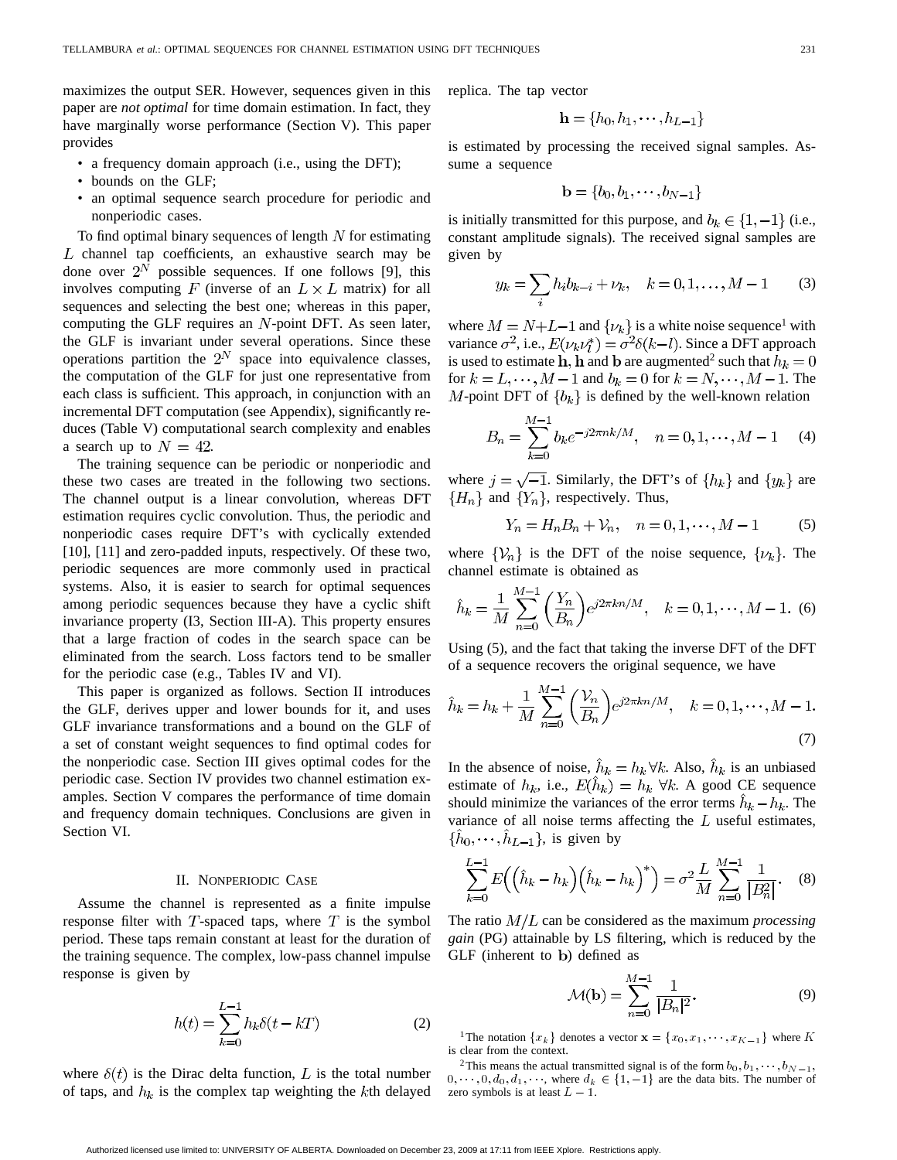maximizes the output SER. However, sequences given in this paper are *not optimal* for time domain estimation. In fact, they have marginally worse performance (Section V). This paper provides

- a frequency domain approach (i.e., using the DFT);
- bounds on the GLF;
- an optimal sequence search procedure for periodic and nonperiodic cases.

To find optimal binary sequences of length  $N$  for estimating  $L$  channel tap coefficients, an exhaustive search may be done over  $2^N$  possible sequences. If one follows [9], this involves computing F (inverse of an  $L \times L$  matrix) for all sequences and selecting the best one; whereas in this paper, computing the GLF requires an  $N$ -point DFT. As seen later, the GLF is invariant under several operations. Since these operations partition the  $2^N$  space into equivalence classes, the computation of the GLF for just one representative from each class is sufficient. This approach, in conjunction with an incremental DFT computation (see Appendix), significantly reduces (Table V) computational search complexity and enables a search up to  $N = 42$ .

The training sequence can be periodic or nonperiodic and these two cases are treated in the following two sections. The channel output is a linear convolution, whereas DFT estimation requires cyclic convolution. Thus, the periodic and nonperiodic cases require DFT's with cyclically extended [10], [11] and zero-padded inputs, respectively. Of these two, periodic sequences are more commonly used in practical systems. Also, it is easier to search for optimal sequences among periodic sequences because they have a cyclic shift invariance property (I3, Section III-A). This property ensures that a large fraction of codes in the search space can be eliminated from the search. Loss factors tend to be smaller for the periodic case (e.g., Tables IV and VI).

This paper is organized as follows. Section II introduces the GLF, derives upper and lower bounds for it, and uses GLF invariance transformations and a bound on the GLF of a set of constant weight sequences to find optimal codes for the nonperiodic case. Section III gives optimal codes for the periodic case. Section IV provides two channel estimation examples. Section V compares the performance of time domain and frequency domain techniques. Conclusions are given in Section VI.

## II. NONPERIODIC CASE

Assume the channel is represented as a finite impulse response filter with  $T$ -spaced taps, where  $T$  is the symbol period. These taps remain constant at least for the duration of the training sequence. The complex, low-pass channel impulse response is given by

$$
h(t) = \sum_{k=0}^{L-1} h_k \delta(t - kT)
$$
 (2)

where  $\delta(t)$  is the Dirac delta function, L is the total number of taps, and  $h_k$  is the complex tap weighting the  $k$ th delayed

replica. The tap vector

$$
\mathbf{h} = \{h_0, h_1, \cdots, h_{L-1}\}
$$

is estimated by processing the received signal samples. Assume a sequence

$$
\mathbf{b} = \{b_0, b_1, \cdots, b_{N-1}\}
$$

is initially transmitted for this purpose, and  $b_k \in \{1, -1\}$  (i.e., constant amplitude signals). The received signal samples are given by

$$
y_k = \sum_i h_i b_{k-i} + \nu_k, \quad k = 0, 1, \dots, M - 1 \tag{3}
$$

where  $M = N + L - 1$  and  $\{\nu_k\}$  is a white noise sequence<sup>1</sup> with variance  $\sigma^2$ , i.e.,  $E(\nu_k \nu_l^*) = \sigma^2 \delta(k-l)$ . Since a DFT approach is used to estimate h, h and b are augmented<sup>2</sup> such that  $h_k = 0$ for  $k = L, \dots, M-1$  and  $b_k = 0$  for  $k = N, \dots, M-1$ . The M-point DFT of  $\{b_k\}$  is defined by the well-known relation

$$
B_n = \sum_{k=0}^{M-1} b_k e^{-j2\pi nk/M}, \quad n = 0, 1, \cdots, M-1 \quad (4)
$$

where  $j = \sqrt{-1}$ . Similarly, the DFT's of  $\{h_k\}$  and  $\{y_k\}$  are  ${H_n}$  and  ${Y_n}$ , respectively. Thus,

$$
Y_n = H_n B_n + V_n, \quad n = 0, 1, \dots, M - 1 \tag{5}
$$

where  $\{\mathcal{V}_n\}$  is the DFT of the noise sequence,  $\{\mathcal{V}_k\}$ . The channel estimate is obtained as

$$
\hat{h}_k = \frac{1}{M} \sum_{n=0}^{M-1} \left( \frac{Y_n}{B_n} \right) e^{j2\pi k n/M}, \quad k = 0, 1, \dots, M-1.
$$
 (6)

Using (5), and the fact that taking the inverse DFT of the DFT of a sequence recovers the original sequence, we have

$$
\hat{h}_k = h_k + \frac{1}{M} \sum_{n=0}^{M-1} \left(\frac{\mathcal{V}_n}{B_n}\right) e^{j2\pi k n/M}, \quad k = 0, 1, \cdots, M-1.
$$
\n(7)

In the absence of noise,  $\hat{h}_k = h_k \forall k$ . Also,  $\hat{h}_k$  is an unbiased estimate of  $h_k$ , i.e.,  $E(h_k) = h_k \ \forall k$ . A good CE sequence should minimize the variances of the error terms  $h_k - h_k$ . The variance of all noise terms affecting the  $L$  useful estimates,  $\{\hat{h}_0, \cdots, \hat{h}_{L-1}\}\$ , is given by

$$
\sum_{k=0}^{L-1} E((\hat{h}_k - h_k)(\hat{h}_k - h_k)^*) = \sigma^2 \frac{L}{M} \sum_{n=0}^{M-1} \frac{1}{|B_n^2|}.
$$
 (8)

The ratio  $M/L$  can be considered as the maximum *processing gain* (PG) attainable by LS filtering, which is reduced by the  $GLF$  (inherent to b) defined as

$$
\mathcal{M}(\mathbf{b}) = \sum_{n=0}^{M-1} \frac{1}{|B_n|^2}.
$$
 (9)

<sup>1</sup>The notation  ${x_k}$  denotes a vector  $\mathbf{x} = {x_0, x_1, \dots, x_{K-1}}$  where K is clear from the context.

<sup>2</sup>This means the actual transmitted signal is of the form  $b_0, b_1, \dots, b_{N-1}$ ,  $0, \dots, 0, d_0, d_1, \dots$ , where  $d_k \in \{1, -1\}$  are the data bits. The number of zero symbols is at least  $L - 1$ .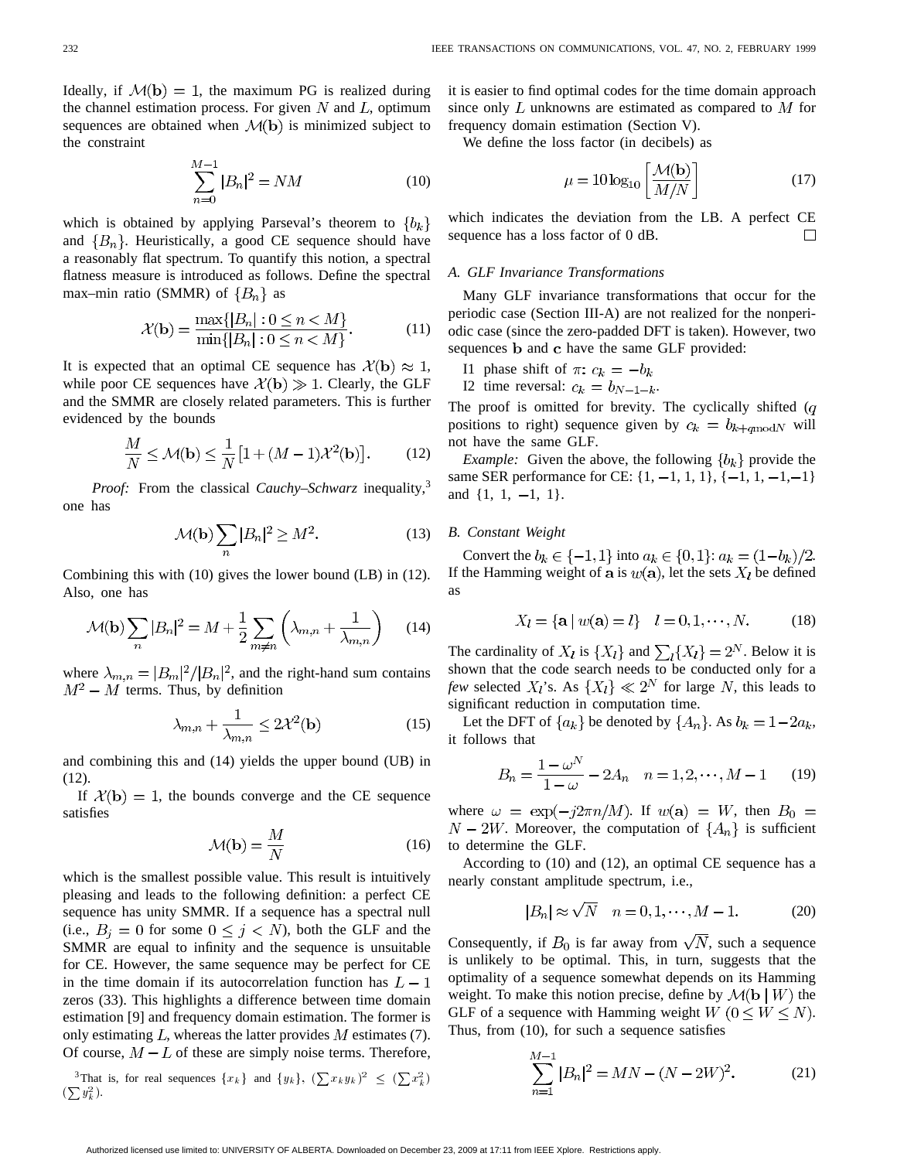Ideally, if  $\mathcal{M}(\mathbf{b}) = 1$ , the maximum PG is realized during the channel estimation process. For given  $N$  and  $L$ , optimum sequences are obtained when  $\mathcal{M}(\mathbf{b})$  is minimized subject to the constraint

$$
\sum_{n=0}^{M-1} |B_n|^2 = NM \tag{10}
$$

which is obtained by applying Parseval's theorem to  ${b_k}$ and  ${B_n}$ . Heuristically, a good CE sequence should have a reasonably flat spectrum. To quantify this notion, a spectral flatness measure is introduced as follows. Define the spectral max–min ratio (SMMR) of  ${B_n}$  as

$$
\mathcal{X}(\mathbf{b}) = \frac{\max\{|B_n| : 0 \le n < M\}}{\min\{|B_n| : 0 \le n < M\}}.\tag{11}
$$

It is expected that an optimal CE sequence has  $\mathcal{X}(\mathbf{b}) \approx 1$ , while poor CE sequences have  $\mathcal{X}(\mathbf{b}) \gg 1$ . Clearly, the GLF and the SMMR are closely related parameters. This is further evidenced by the bounds

$$
\frac{M}{N} \le \mathcal{M}(\mathbf{b}) \le \frac{1}{N} \left[ 1 + (M - 1)\mathcal{X}^2(\mathbf{b}) \right].
$$
 (12)

*Proof:* From the classical *Cauchy–Schwarz* inequality,<sup>3</sup> one has

$$
\mathcal{M}(\mathbf{b}) \sum_{n} |B_n|^2 \ge M^2. \tag{13}
$$

Combining this with (10) gives the lower bound (LB) in (12). Also, one has

$$
\mathcal{M}(\mathbf{b})\sum_{n}|B_{n}|^{2} = M + \frac{1}{2}\sum_{m \neq n}\left(\lambda_{m,n} + \frac{1}{\lambda_{m,n}}\right)
$$
(14)

where  $\lambda_{m,n} = |B_m|^2/|B_n|^2$ , and the right-hand sum contains  $M^2 - M$  terms. Thus, by definition

$$
\lambda_{m,n} + \frac{1}{\lambda_{m,n}} \le 2\mathcal{X}^2(\mathbf{b})\tag{15}
$$

and combining this and (14) yields the upper bound (UB) in (12).

If  $\mathcal{X}(\mathbf{b}) = 1$ , the bounds converge and the CE sequence satisfies

$$
\mathcal{M}(\mathbf{b}) = \frac{M}{N} \tag{16}
$$

which is the smallest possible value. This result is intuitively pleasing and leads to the following definition: a perfect CE sequence has unity SMMR. If a sequence has a spectral null (i.e.,  $B_i = 0$  for some  $0 \leq j \leq N$ ), both the GLF and the SMMR are equal to infinity and the sequence is unsuitable for CE. However, the same sequence may be perfect for CE in the time domain if its autocorrelation function has  $L-1$ zeros (33). This highlights a difference between time domain estimation [9] and frequency domain estimation. The former is only estimating  $L$ , whereas the latter provides  $M$  estimates (7). Of course,  $M - L$  of these are simply noise terms. Therefore,

<sup>3</sup>That is, for real sequences  $\{x_k\}$  and  $\{y_k\}$ ,  $(\sum x_k y_k)^2 \leq (\sum x_k^2)$  $(\sum y_k^2)$ .

it is easier to find optimal codes for the time domain approach since only  $L$  unknowns are estimated as compared to  $M$  for frequency domain estimation (Section V).

We define the loss factor (in decibels) as

$$
\mu = 10 \log_{10} \left[ \frac{\mathcal{M}(b)}{M/N} \right] \tag{17}
$$

which indicates the deviation from the LB. A perfect CE sequence has a loss factor of 0 dB.  $\Box$ 

## *A. GLF Invariance Transformations*

Many GLF invariance transformations that occur for the periodic case (Section III-A) are not realized for the nonperiodic case (since the zero-padded DFT is taken). However, two sequences **b** and **c** have the same GLF provided:

I1 phase shift of  $\pi$ :  $c_k = -b_k$ 

I2 time reversal:  $c_k = b_{N-1-k}$ .

The proof is omitted for brevity. The cyclically shifted  $(q)$ positions to right) sequence given by  $c_k = b_{k+q \mod N}$  will not have the same GLF.

*Example:* Given the above, the following  ${b_k}$  provide the same SER performance for CE:  $\{1, -1, 1, 1\}$ ,  $\{-1, 1, -1, -1\}$ and  $\{1, 1, -1, 1\}.$ 

## *B. Constant Weight*

Convert the  $b_k \in \{-1, 1\}$  into  $a_k \in \{0, 1\}$ :  $a_k = (1 - b_k)/2$ . If the Hamming weight of a is  $w(\mathbf{a})$ , let the sets  $X_l$  be defined as

$$
X_l = \{ \mathbf{a} \mid w(\mathbf{a}) = l \} \quad l = 0, 1, \cdots, N. \tag{18}
$$

The cardinality of  $X_l$  is  $\{X_l\}$  and  $\sum_l \{X_l\} = 2^N$ . Below it is shown that the code search needs to be conducted only for a *few* selected  $X_i$ 's. As  $\{X_i\} \ll 2^N$  for large N, this leads to significant reduction in computation time.

Let the DFT of  $\{a_k\}$  be denoted by  $\{A_n\}$ . As  $b_k = 1-2a_k$ , it follows that

$$
B_n = \frac{1 - \omega^N}{1 - \omega} - 2A_n \quad n = 1, 2, \cdots, M - 1 \tag{19}
$$

where  $\omega = \exp(-j2\pi n/M)$ . If  $w(\mathbf{a}) = W$ , then  $B_0 =$  $N-2W$ . Moreover, the computation of  $\{A_n\}$  is sufficient to determine the GLF.

According to (10) and (12), an optimal CE sequence has a nearly constant amplitude spectrum, i.e.,

$$
|B_n| \approx \sqrt{N} \quad n = 0, 1, \cdots, M - 1.
$$
 (20)

Consequently, if  $B_0$  is far away from  $\sqrt{N}$ , such a sequence is unlikely to be optimal. This, in turn, suggests that the optimality of a sequence somewhat depends on its Hamming weight. To make this notion precise, define by  $\mathcal{M}(\mathbf{b} \mid W)$  the GLF of a sequence with Hamming weight  $W$  ( $0 \leq W \leq N$ ). Thus, from (10), for such a sequence satisfies

$$
\sum_{n=1}^{M-1} |B_n|^2 = MN - (N - 2W)^2.
$$
 (21)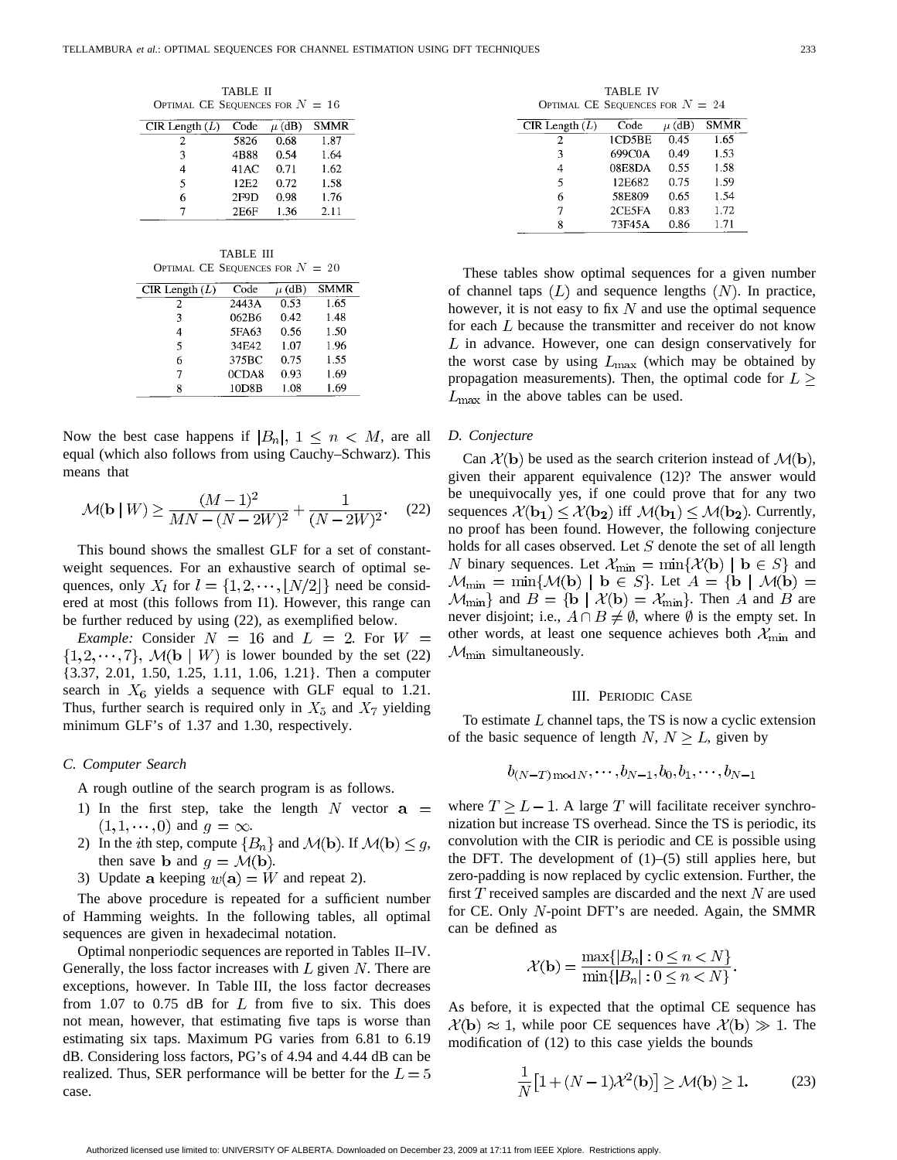TABLE II OPTIMAL CE SEQUENCES FOR  $N = 16$ 

| CIR Length $(L)$ | Code             | $\mu$ (dB) | <b>SMMR</b> |
|------------------|------------------|------------|-------------|
| 2                | 5826             | 0.68       | 1.87        |
| ٩                | 4B88             | 0.54       | 1.64        |
| 4                | 41 AC            | 0.71       | 1.62        |
| $\leq$           | 12 <sub>E2</sub> | 0.72       | 1.58        |
| 6                | 2F9D             | 0.98       | 1.76        |
|                  | 2E6F             | 1.36       | 2.11        |
|                  |                  |            |             |

TABLE III OPTIMAL CE SEQUENCES FOR  $N = 20$ 

| CIR Length $(L)$ | Code  | $\mu$ (dB) | <b>SMMR</b> |
|------------------|-------|------------|-------------|
| 2.               | 2443A | 0.53       | 1.65        |
| 3                | 062B6 | 0.42       | 1.48        |
|                  | 5FA63 | 0.56       | 1.50        |
| 5                | 34F42 | 1.07       | 1.96        |
| 6                | 375BC | 0.75       | 1.55        |
| 7                | 0CDA8 | 0.93       | 1.69        |
| Я                | 10D8B | 1.08       | 1.69        |

Now the best case happens if  $|B_n|$ ,  $1 \leq n \leq M$ , are all equal (which also follows from using Cauchy–Schwarz). This means that

$$
\mathcal{M}(\mathbf{b} \mid W) \ge \frac{(M-1)^2}{MN - (N-2W)^2} + \frac{1}{(N-2W)^2}.
$$
 (22)

This bound shows the smallest GLF for a set of constantweight sequences. For an exhaustive search of optimal sequences, only  $X_l$  for  $l = \{1, 2, \dots, |N/2|\}$  need be considered at most (this follows from I1). However, this range can be further reduced by using (22), as exemplified below.

*Example:* Consider  $N = 16$  and  $L = 2$ . For  $W =$  $\{1, 2, \dots, 7\}$ ,  $\mathcal{M}(\mathbf{b} \mid W)$  is lower bounded by the set (22) {3.37, 2.01, 1.50, 1.25, 1.11, 1.06, 1.21}. Then a computer search in  $X_6$  yields a sequence with GLF equal to 1.21. Thus, further search is required only in  $X_5$  and  $X_7$  yielding minimum GLF's of 1.37 and 1.30, respectively.

## *C. Computer Search*

A rough outline of the search program is as follows.

- 1) In the first step, take the length N vector  $a =$  $(1,1,\dots,0)$  and  $q=\infty$ .
- 2) In the *i*th step, compute  ${B_n}$  and  $M(\mathbf{b})$ . If  $M(\mathbf{b}) \leq g$ , then save **b** and  $q = \mathcal{M}(\mathbf{b})$ .
- 3) Update a keeping  $w(\mathbf{a}) = W$  and repeat 2).

The above procedure is repeated for a sufficient number of Hamming weights. In the following tables, all optimal sequences are given in hexadecimal notation.

Optimal nonperiodic sequences are reported in Tables II–IV. Generally, the loss factor increases with  $L$  given  $N$ . There are exceptions, however. In Table III, the loss factor decreases from 1.07 to 0.75 dB for  $L$  from five to six. This does not mean, however, that estimating five taps is worse than estimating six taps. Maximum PG varies from 6.81 to 6.19 dB. Considering loss factors, PG's of 4.94 and 4.44 dB can be realized. Thus, SER performance will be better for the  $L = 5$ case.

TABLE IV OPTIMAL CE SEQUENCES FOR  $N = 24$ 

| CIR Length $(L)$ | Code   | $\mu$ (dB) | <b>SMMR</b> |
|------------------|--------|------------|-------------|
| 2                | 1CD5BE | 0.45       | 1.65        |
| 3                | 699C0A | 0.49       | 1.53        |
| 4                | 08E8DA | 0.55       | 1.58        |
| $\overline{5}$   | 12E682 | 0.75       | 1.59        |
| 6                | 58E809 | 0.65       | 1.54        |
| 7                | 2CE5FA | 0.83       | 1.72        |
| Ջ                | 73F45A | 0.86       | 1.71        |

These tables show optimal sequences for a given number of channel taps  $(L)$  and sequence lengths  $(N)$ . In practice, however, it is not easy to fix N and use the optimal sequence for each  $L$  because the transmitter and receiver do not know  $L$  in advance. However, one can design conservatively for the worst case by using  $L_{\text{max}}$  (which may be obtained by propagation measurements). Then, the optimal code for  $L \geq$  $L_{\text{max}}$  in the above tables can be used.

# *D. Conjecture*

Can  $\mathcal{X}(\mathbf{b})$  be used as the search criterion instead of  $\mathcal{M}(\mathbf{b})$ , given their apparent equivalence (12)? The answer would be unequivocally yes, if one could prove that for any two sequences  $\mathcal{X}(\mathbf{b_1}) \leq \mathcal{X}(\mathbf{b_2})$  iff  $\mathcal{M}(\mathbf{b_1}) \leq \mathcal{M}(\mathbf{b_2})$ . Currently, no proof has been found. However, the following conjecture holds for all cases observed. Let  $S$  denote the set of all length N binary sequences. Let  $\mathcal{X}_{\min} = \min \{ \mathcal{X}(\mathbf{b}) \mid \mathbf{b} \in S \}$  and  $\mathcal{M}_{\min} = \min\{\mathcal{M}(\mathbf{b}) \mid \mathbf{b} \in S\}$ . Let  $A = \{\mathbf{b} \mid \mathcal{M}(\mathbf{b}) =$  $\mathcal{M}_{\text{min}}$  and  $B = \{ \mathbf{b} \mid \mathcal{X}(\mathbf{b}) = \mathcal{X}_{\text{min}} \}$ . Then A and B are never disjoint; i.e.,  $A \cap B \neq \emptyset$ , where  $\emptyset$  is the empty set. In other words, at least one sequence achieves both  $\mathcal{X}_{\text{min}}$  and  $\mathcal{M}_{\text{min}}$  simultaneously.

#### III. PERIODIC CASE

To estimate  $L$  channel taps, the TS is now a cyclic extension of the basic sequence of length N,  $N \geq L$ , given by

$$
b_{(N-T)\!\!\!\!\mod\! N},\cdots,b_{N-1},b_0,b_1,\cdots,b_{N-1}
$$

where  $T \geq L - 1$ . A large T will facilitate receiver synchronization but increase TS overhead. Since the TS is periodic, its convolution with the CIR is periodic and CE is possible using the DFT. The development of  $(1)$ – $(5)$  still applies here, but zero-padding is now replaced by cyclic extension. Further, the first  $T$  received samples are discarded and the next  $N$  are used for CE. Only  $N$ -point DFT's are needed. Again, the SMMR can be defined as

$$
\mathcal{X}(\mathbf{b}) = \frac{\max\{|B_n| : 0 \le n < N\}}{\min\{|B_n| : 0 \le n < N\}}.
$$

As before, it is expected that the optimal CE sequence has  $\mathcal{X}(\mathbf{b}) \approx 1$ , while poor CE sequences have  $\mathcal{X}(\mathbf{b}) \gg 1$ . The modification of (12) to this case yields the bounds

$$
\frac{1}{N}\left[1 + (N-1)\mathcal{X}^2(\mathbf{b})\right] \ge \mathcal{M}(\mathbf{b}) \ge 1.
$$
 (23)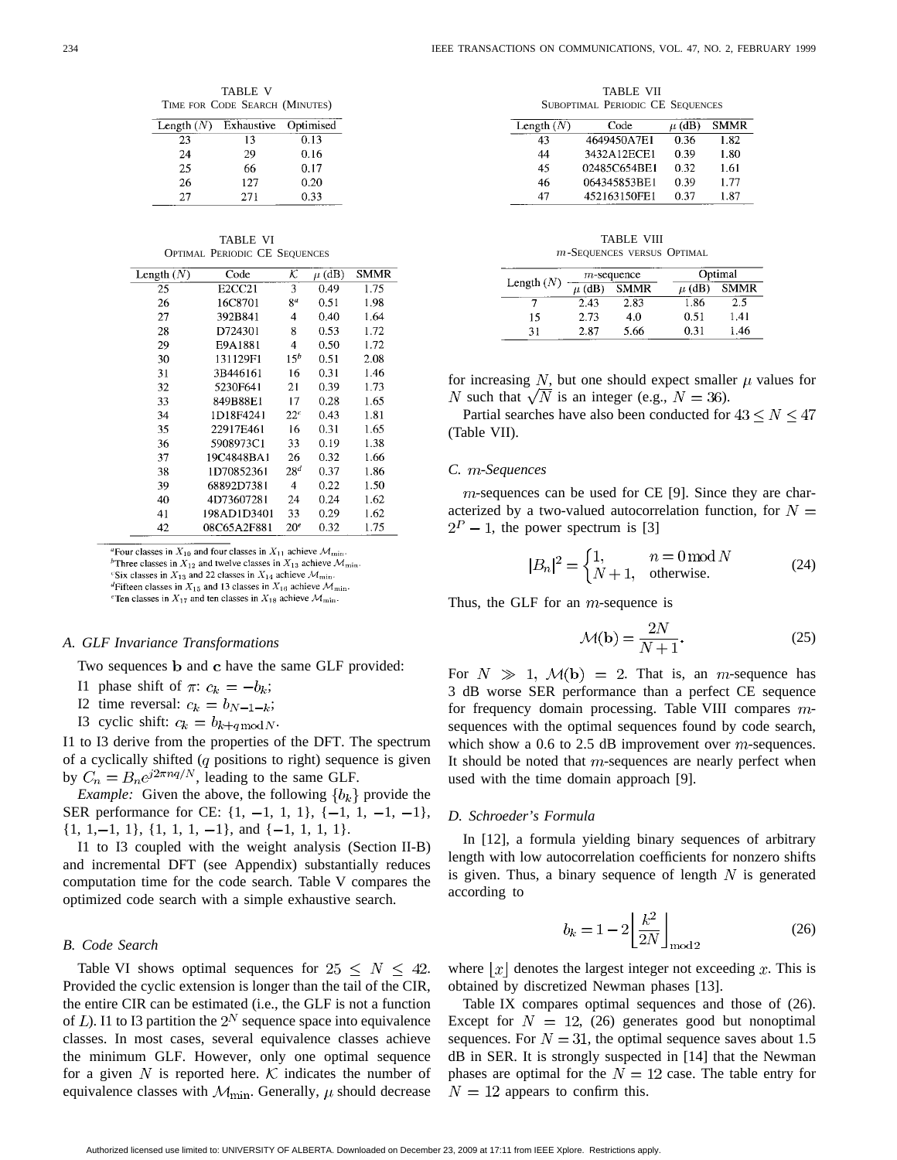TABLE V TIME FOR CODE SEARCH (MINUTES)

| Length $(N)$ | Exhaustive | Optimised |
|--------------|------------|-----------|
| 23           | 13         | 0.13      |
| 24           | 29         | 0.16      |
| 25           | 66         | 0.17      |
| 26           | 127        | 0.20      |
| 27           | 271        | 0.33      |

TABLE VI OPTIMAL PERIODIC CE SEQUENCES

| Length $(N)$ | Code                            | $\overline{\mathcal{K}}$ | $\mu$ (dB) | <b>SMMR</b> |
|--------------|---------------------------------|--------------------------|------------|-------------|
| 25           | E <sub>2</sub> CC <sub>21</sub> | 3                        | 0.49       | 1.75        |
| 26           | 16C8701                         | 8 <sup>a</sup>           | 0.51       | 1.98        |
| 27           | 392B841                         | 4                        | 0.40       | 1.64        |
| 28           | D724301                         | 8                        | 0.53       | 1.72        |
| 29           | E9A1881                         | 4                        | 0.50       | 1.72        |
| 30           | 131129F1                        | $15^b$                   | 0.51       | 2.08        |
| 31           | 3B446161                        | 16                       | 0.31       | 1.46        |
| 32           | 5230F641                        | 21                       | 0.39       | 1.73        |
| 33           | 849B88E1                        | 17                       | 0.28       | 1.65        |
| 34           | 1D18F4241                       | $22^c$                   | 0.43       | 1.81        |
| 35           | 22917E461                       | 16                       | 0.31       | 1.65        |
| 36           | 5908973C1                       | 33                       | 0.19       | 1.38        |
| 37           | 19C4848BA1                      | 26                       | 0.32       | 1.66        |
| 38           | 1D70852361                      | 28 <sup>d</sup>          | 0.37       | 1.86        |
| 39           | 68892D7381                      | 4                        | 0.22       | 1.50        |
| 40           | 4D73607281                      | 24                       | 0.24       | 1.62        |
| 41           | 198AD1D3401                     | 33                       | 0.29       | 1.62        |
| 42           | 08C65A2F881                     | 20 <sup>e</sup>          | 0.32       | 1.75        |

"Four classes in  $X_{10}$  and four classes in  $X_{11}$  achieve  $\mathcal{M}_{\text{min}}$ 

<sup>b</sup>Three classes in  $X_{12}$  and twelve classes in  $X_{13}$  achieve  $\mathcal{M}_{\text{min}}$ .

<sup>c</sup>Six classes in  $X_{13}$  and 22 classes in  $X_{14}$  achieve  $\mathcal{M}_{\text{min}}$ .

<sup>d</sup>Fifteen classes in  $X_{15}$  and 13 classes in  $X_{16}$  achieve  $\mathcal{M}_{\text{min}}$ . "Ten classes in  $X_{17}$  and ten classes in  $X_{18}$  achieve  $\mathcal{M}_{\text{min}}$ .

#### *A. GLF Invariance Transformations*

Two sequences b and c have the same GLF provided:

- I1 phase shift of  $\pi$ :  $c_k = -b_k$ ;
- I2 time reversal:  $c_k = b_{N-1-k}$ ;
- I3 cyclic shift:  $c_k = b_{k+q \mod N}$ .

I1 to I3 derive from the properties of the DFT. The spectrum of a cyclically shifted  $(q$  positions to right) sequence is given by  $C_n = B_n e^{j2\pi nq/N}$ , leading to the same GLF.

*Example:* Given the above, the following  ${b_k}$  provide the SER performance for CE:  $\{1, -1, 1, 1\}$ ,  $\{-1, 1, -1, -1\}$ ,  $\{1, 1, -1, 1\}, \{1, 1, 1, -1\}, \text{ and } \{-1, 1, 1, 1\}.$ 

I1 to I3 coupled with the weight analysis (Section II-B) and incremental DFT (see Appendix) substantially reduces computation time for the code search. Table V compares the optimized code search with a simple exhaustive search.

## *B. Code Search*

Table VI shows optimal sequences for  $25 \leq N \leq 42$ . Provided the cyclic extension is longer than the tail of the CIR, the entire CIR can be estimated (i.e., the GLF is not a function of  $L$ ). I1 to I3 partition the  $2^N$  sequence space into equivalence classes. In most cases, several equivalence classes achieve the minimum GLF. However, only one optimal sequence for a given N is reported here.  $\mathcal K$  indicates the number of equivalence classes with  $\mathcal{M}_{\text{min}}$ . Generally,  $\mu$  should decrease

TABLE VII SUBOPTIMAL PERIODIC CE SEQUENCES

| Length $(N)$ | Code         | $\mu$ (dB) | <b>SMMR</b> |
|--------------|--------------|------------|-------------|
| 43           | 4649450A7E1  | 0.36       | 1.82        |
| 44           | 3432A12ECE1  | 0.39       | 1.80        |
| 45           | 02485C654BE1 | 0.32       | 1.61        |
| 46           | 064345853BE1 | 0.39       | 1.77        |
| 47           | 452163150FE1 | 0.37       | 1.87        |

TABLE VIII m-SEQUENCES VERSUS OPTIMAL

|              | $m$ -sequence |             | Optimal    |             |
|--------------|---------------|-------------|------------|-------------|
| Length $(N)$ | $\mu$ (dB)    | <b>SMMR</b> | $\mu$ (dB) | <b>SMMR</b> |
|              | 2.43          | 2.83        | 1.86       | 2.5         |
| 15           | 2.73          | 4.0         | 0.51       | 1.41        |
| 31           | 2.87          | 5.66        | 0.31       | 1.46        |

for increasing  $N$ , but one should expect smaller  $\mu$  values for N such that  $\sqrt{N}$  is an integer (e.g.,  $N = 36$ ).

Partial searches have also been conducted for  $43 \le N \le 47$ (Table VII).

#### *C. -Sequences*

 $m$ -sequences can be used for CE [9]. Since they are characterized by a two-valued autocorrelation function, for  $N =$  $2^P - 1$ , the power spectrum is [3]

$$
|B_n|^2 = \begin{cases} 1, & n = 0 \bmod N \\ N+1, & \text{otherwise.} \end{cases}
$$
 (24)

Thus, the GLF for an  $m$ -sequence is

$$
\mathcal{M}(\mathbf{b}) = \frac{2N}{N+1}.\tag{25}
$$

For  $N \gg 1$ ,  $\mathcal{M}(\mathbf{b}) = 2$ . That is, an *m*-sequence has 3 dB worse SER performance than a perfect CE sequence for frequency domain processing. Table VIII compares  $m$ sequences with the optimal sequences found by code search, which show a 0.6 to 2.5 dB improvement over  $m$ -sequences. It should be noted that  $m$ -sequences are nearly perfect when used with the time domain approach [9].

#### *D. Schroeder's Formula*

In [12], a formula yielding binary sequences of arbitrary length with low autocorrelation coefficients for nonzero shifts is given. Thus, a binary sequence of length  $N$  is generated according to

$$
b_k = 1 - 2 \left\lfloor \frac{k^2}{2N} \right\rfloor_{\text{mod } 2} \tag{26}
$$

where  $|x|$  denotes the largest integer not exceeding x. This is obtained by discretized Newman phases [13].

Table IX compares optimal sequences and those of (26). Except for  $N = 12$ , (26) generates good but nonoptimal sequences. For  $N = 31$ , the optimal sequence saves about 1.5 dB in SER. It is strongly suspected in [14] that the Newman phases are optimal for the  $N = 12$  case. The table entry for  $N = 12$  appears to confirm this.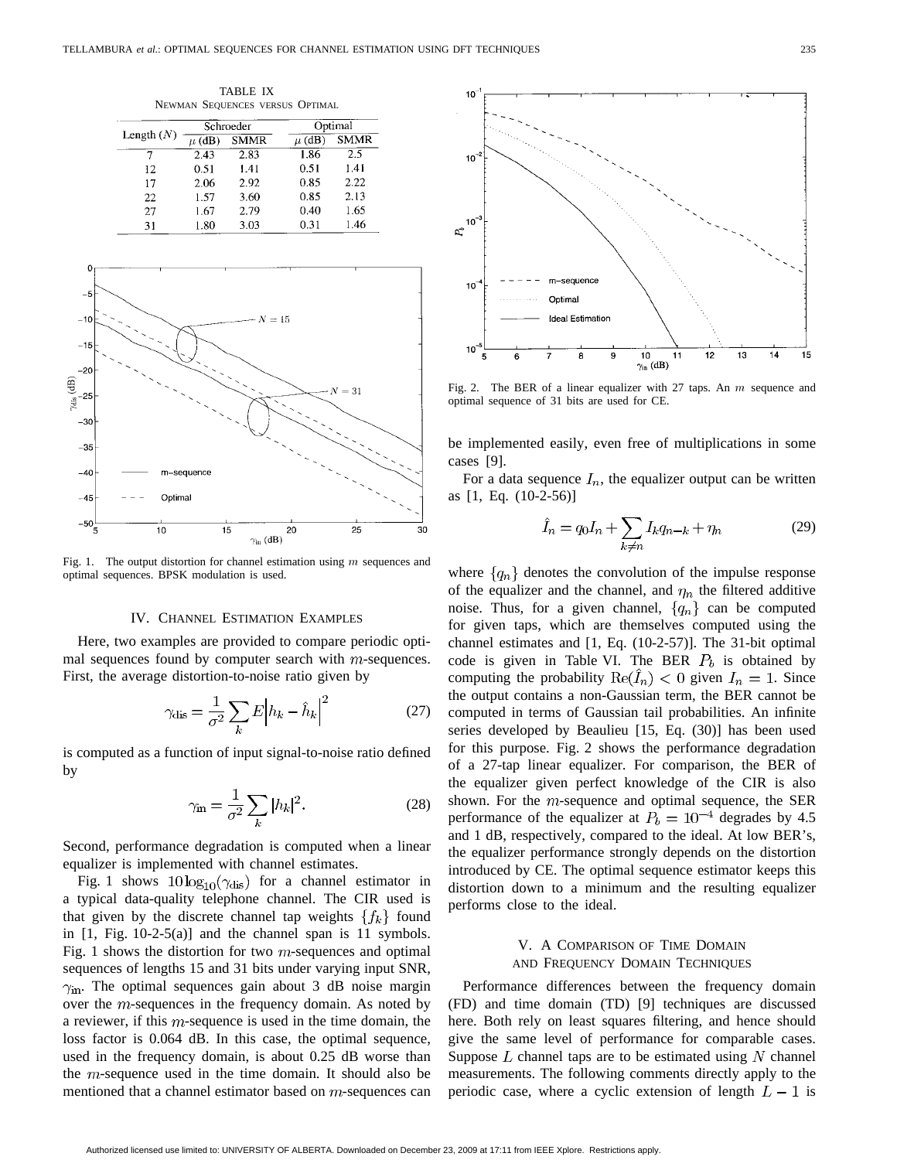TABLE IX NEWMAN SEQUENCES VERSUS OPTIMAL

|              |      | Schroeder   |            | Optimal     |  |
|--------------|------|-------------|------------|-------------|--|
| Length $(N)$ | (dB) | <b>SMMR</b> | $\mu$ (dB) | <b>SMMR</b> |  |
|              | 2.43 | 2.83        | 1.86       | 2.5         |  |
| 12           | 0.51 | 1.41        | 0.51       | 1.41        |  |
| 17           | 2.06 | 2.92        | 0.85       | 2.22        |  |
| 22           | 1.57 | 3.60        | 0.85       | 2.13        |  |
| 27           | 1.67 | 2.79        | 0.40       | 1.65        |  |
| 31           | 1.80 | 3.03        | 0.31       | 1.46        |  |



Fig. 1. The output distortion for channel estimation using  $m$  sequences and optimal sequences. BPSK modulation is used.

#### IV. CHANNEL ESTIMATION EXAMPLES

Here, two examples are provided to compare periodic optimal sequences found by computer search with  $m$ -sequences. First, the average distortion-to-noise ratio given by

$$
\gamma_{\text{dis}} = \frac{1}{\sigma^2} \sum_{k} E \left| h_k - \hat{h}_k \right|^2 \tag{27}
$$

is computed as a function of input signal-to-noise ratio defined by

$$
\gamma_{\rm in} = \frac{1}{\sigma^2} \sum_{k} |h_k|^2. \tag{28}
$$

Second, performance degradation is computed when a linear equalizer is implemented with channel estimates.

Fig. 1 shows  $10\log_{10}(\gamma_{dis})$  for a channel estimator in a typical data-quality telephone channel. The CIR used is that given by the discrete channel tap weights  $\{f_k\}$  found in [1, Fig. 10-2-5(a)] and the channel span is 11 symbols. Fig. 1 shows the distortion for two  $m$ -sequences and optimal sequences of lengths 15 and 31 bits under varying input SNR,  $\gamma_{\rm in}$ . The optimal sequences gain about 3 dB noise margin over the  $m$ -sequences in the frequency domain. As noted by a reviewer, if this  $m$ -sequence is used in the time domain, the loss factor is 0.064 dB. In this case, the optimal sequence, used in the frequency domain, is about 0.25 dB worse than the  $m$ -sequence used in the time domain. It should also be mentioned that a channel estimator based on  $m$ -sequences can



Fig. 2. The BER of a linear equalizer with 27 taps. An  $m$  sequence and optimal sequence of 31 bits are used for CE.

be implemented easily, even free of multiplications in some cases [9].

For a data sequence  $I_n$ , the equalizer output can be written as [1, Eq. (10-2-56)]

$$
\hat{I}_n = q_0 I_n + \sum_{k \neq n} I_k q_{n-k} + \eta_n \tag{29}
$$

where  $\{q_n\}$  denotes the convolution of the impulse response of the equalizer and the channel, and  $\eta_n$  the filtered additive noise. Thus, for a given channel,  $\{q_n\}$  can be computed for given taps, which are themselves computed using the channel estimates and [1, Eq. (10-2-57)]. The 31-bit optimal code is given in Table VI. The BER  $P_b$  is obtained by computing the probability  $Re(\tilde{I}_n) < 0$  given  $I_n = 1$ . Since the output contains a non-Gaussian term, the BER cannot be computed in terms of Gaussian tail probabilities. An infinite series developed by Beaulieu [15, Eq. (30)] has been used for this purpose. Fig. 2 shows the performance degradation of a 27-tap linear equalizer. For comparison, the BER of the equalizer given perfect knowledge of the CIR is also shown. For the  $m$ -sequence and optimal sequence, the SER performance of the equalizer at  $P_b = 10^{-4}$  degrades by 4.5 and 1 dB, respectively, compared to the ideal. At low BER's, the equalizer performance strongly depends on the distortion introduced by CE. The optimal sequence estimator keeps this distortion down to a minimum and the resulting equalizer performs close to the ideal.

# V. A COMPARISON OF TIME DOMAIN AND FREQUENCY DOMAIN TECHNIQUES

Performance differences between the frequency domain (FD) and time domain (TD) [9] techniques are discussed here. Both rely on least squares filtering, and hence should give the same level of performance for comparable cases. Suppose  $L$  channel taps are to be estimated using  $N$  channel measurements. The following comments directly apply to the periodic case, where a cyclic extension of length  $L-1$  is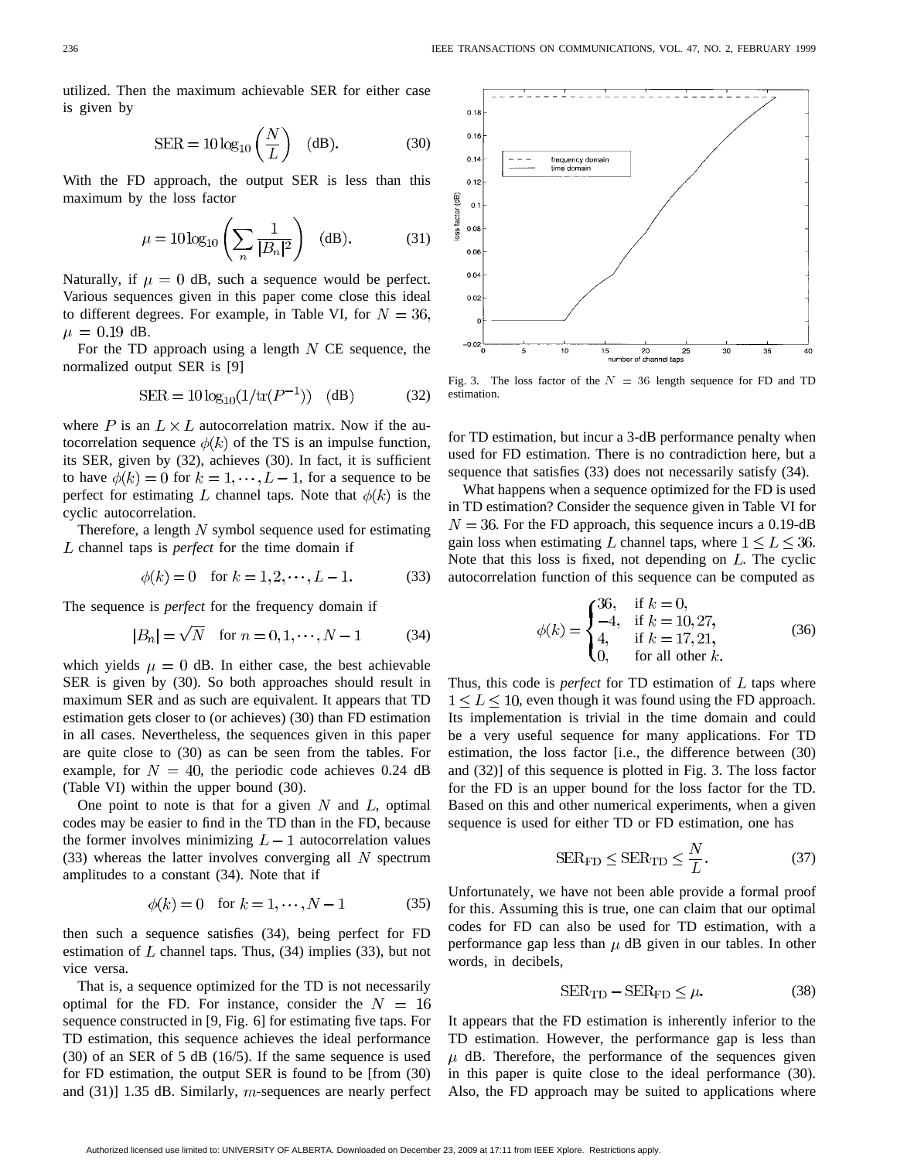utilized. Then the maximum achievable SER for either case is given by

$$
SER = 10 \log_{10} \left(\frac{N}{L}\right) \quad (dB). \tag{30}
$$

With the FD approach, the output SER is less than this maximum by the loss factor

$$
\mu = 10 \log_{10} \left( \sum_{n} \frac{1}{|B_n|^2} \right) \quad (\text{dB}). \tag{31}
$$

Naturally, if  $\mu = 0$  dB, such a sequence would be perfect. Various sequences given in this paper come close this ideal to different degrees. For example, in Table VI, for  $N = 36$ ,  $\mu = 0.19$  dB.

For the TD approach using a length  $N$  CE sequence, the normalized output SER is [9]

$$
SER = 10 \log_{10}(1/\text{tr}(P^{-1})) \quad (dB)
$$
 (32)

where P is an  $L \times L$  autocorrelation matrix. Now if the autocorrelation sequence  $\phi(k)$  of the TS is an impulse function, its SER, given by (32), achieves (30). In fact, it is sufficient to have  $\phi(k) = 0$  for  $k = 1, \dots, L-1$ , for a sequence to be perfect for estimating L channel taps. Note that  $\phi(k)$  is the cyclic autocorrelation.

Therefore, a length  $N$  symbol sequence used for estimating L channel taps is *perfect* for the time domain if

$$
\phi(k) = 0 \quad \text{for } k = 1, 2, \cdots, L - 1. \tag{33}
$$

The sequence is *perfect* for the frequency domain if

$$
|B_n| = \sqrt{N} \quad \text{for } n = 0, 1, \dots, N - 1 \tag{34}
$$

which yields  $\mu = 0$  dB. In either case, the best achievable SER is given by (30). So both approaches should result in maximum SER and as such are equivalent. It appears that TD estimation gets closer to (or achieves) (30) than FD estimation in all cases. Nevertheless, the sequences given in this paper are quite close to (30) as can be seen from the tables. For example, for  $N = 40$ , the periodic code achieves 0.24 dB (Table VI) within the upper bound (30).

One point to note is that for a given  $N$  and  $L$ , optimal codes may be easier to find in the TD than in the FD, because the former involves minimizing  $L-1$  autocorrelation values  $(33)$  whereas the latter involves converging all N spectrum amplitudes to a constant (34). Note that if

$$
\phi(k) = 0 \quad \text{for } k = 1, \cdots, N - 1 \tag{35}
$$

then such a sequence satisfies (34), being perfect for FD estimation of  $L$  channel taps. Thus, (34) implies (33), but not vice versa.

That is, a sequence optimized for the TD is not necessarily optimal for the FD. For instance, consider the  $N = 16$ sequence constructed in [9, Fig. 6] for estimating five taps. For TD estimation, this sequence achieves the ideal performance (30) of an SER of 5 dB (16/5). If the same sequence is used for FD estimation, the output SER is found to be [from (30) and  $(31)$ ] 1.35 dB. Similarly, m-sequences are nearly perfect



Fig. 3. The loss factor of the  $N = 36$  length sequence for FD and TD estimation.

for TD estimation, but incur a 3-dB performance penalty when used for FD estimation. There is no contradiction here, but a sequence that satisfies (33) does not necessarily satisfy (34).

What happens when a sequence optimized for the FD is used in TD estimation? Consider the sequence given in Table VI for  $N = 36$ . For the FD approach, this sequence incurs a 0.19-dB gain loss when estimating L channel taps, where  $1 \leq L \leq 36$ . Note that this loss is fixed, not depending on  $L$ . The cyclic autocorrelation function of this sequence can be computed as

$$
\phi(k) = \begin{cases}\n36, & \text{if } k = 0, \\
-4, & \text{if } k = 10, 27, \\
4, & \text{if } k = 17, 21, \\
0, & \text{for all other } k.\n\end{cases}
$$
\n(36)

Thus, this code is *perfect* for TD estimation of  $L$  taps where  $1 \leq L \leq 10$ , even though it was found using the FD approach. Its implementation is trivial in the time domain and could be a very useful sequence for many applications. For TD estimation, the loss factor [i.e., the difference between (30) and (32)] of this sequence is plotted in Fig. 3. The loss factor for the FD is an upper bound for the loss factor for the TD. Based on this and other numerical experiments, when a given sequence is used for either TD or FD estimation, one has

$$
SER_{FD} \leq SER_{TD} \leq \frac{N}{L}.
$$
 (37)

Unfortunately, we have not been able provide a formal proof for this. Assuming this is true, one can claim that our optimal codes for FD can also be used for TD estimation, with a performance gap less than  $\mu$  dB given in our tables. In other words, in decibels,

$$
SER_{TD} - SER_{FD} \le \mu. \tag{38}
$$

It appears that the FD estimation is inherently inferior to the TD estimation. However, the performance gap is less than  $\mu$  dB. Therefore, the performance of the sequences given in this paper is quite close to the ideal performance (30). Also, the FD approach may be suited to applications where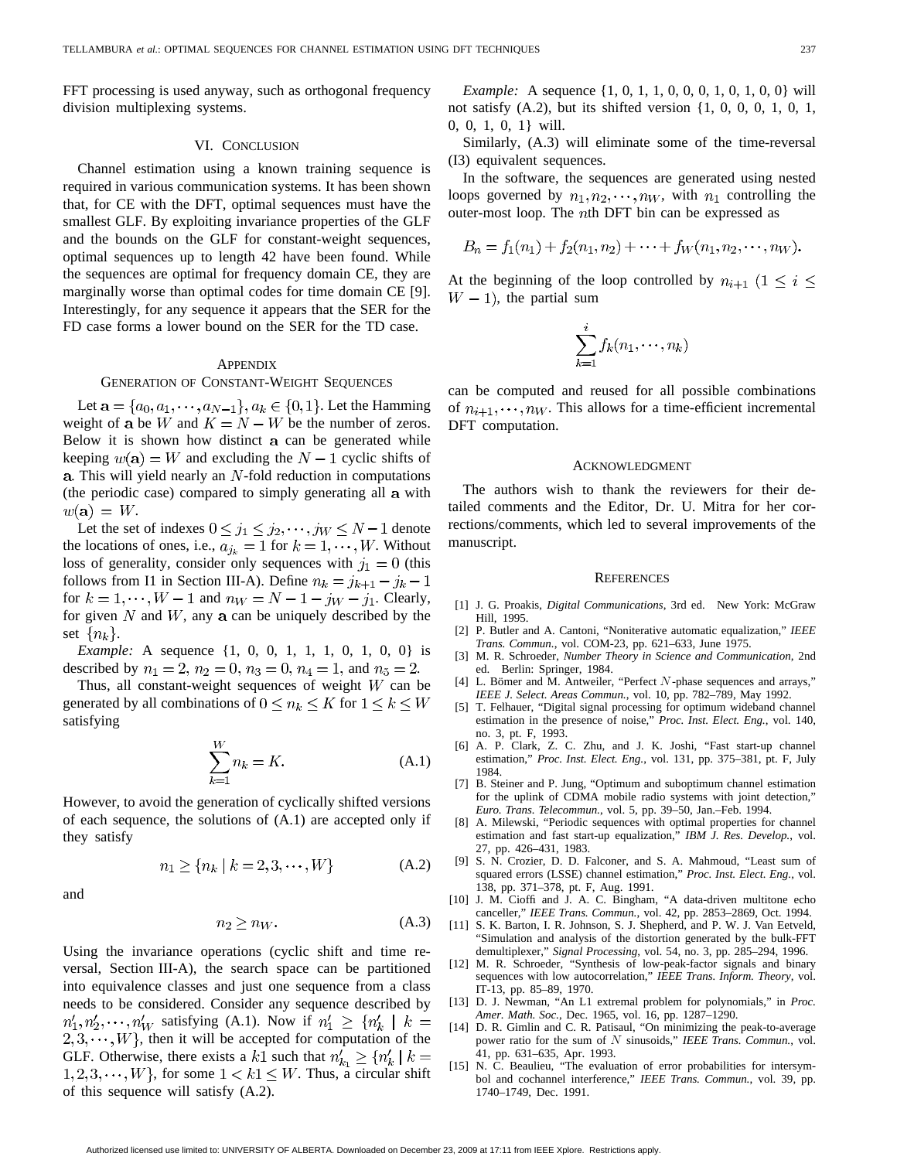FFT processing is used anyway, such as orthogonal frequency division multiplexing systems.

## VI. CONCLUSION

Channel estimation using a known training sequence is required in various communication systems. It has been shown that, for CE with the DFT, optimal sequences must have the smallest GLF. By exploiting invariance properties of the GLF and the bounds on the GLF for constant-weight sequences, optimal sequences up to length 42 have been found. While the sequences are optimal for frequency domain CE, they are marginally worse than optimal codes for time domain CE [9]. Interestingly, for any sequence it appears that the SER for the FD case forms a lower bound on the SER for the TD case.

#### **APPENDIX**

#### GENERATION OF CONSTANT-WEIGHT SEQUENCES

Let  $\mathbf{a} = \{a_0, a_1, \dots, a_{N-1}\}, a_k \in \{0, 1\}.$  Let the Hamming weight of a be W and  $K = N - W$  be the number of zeros. Below it is shown how distinct a can be generated while keeping  $w(\mathbf{a}) = W$  and excluding the  $N - 1$  cyclic shifts of  $a$ . This will yield nearly an  $N$ -fold reduction in computations (the periodic case) compared to simply generating all a with  $w(\mathbf{a}) = W$ .

Let the set of indexes  $0 \le j_1 \le j_2, \dots, j_W \le N-1$  denote the locations of ones, i.e.,  $a_{j_k} = 1$  for  $k = 1, \dots, W$ . Without loss of generality, consider only sequences with  $j_1 = 0$  (this follows from I1 in Section III-A). Define  $n_k = j_{k+1} - j_k - 1$ for  $k = 1, \dots, W - 1$  and  $n_W = N - 1 - j_W - j_1$ . Clearly, for given  $N$  and  $W$ , any  $a$  can be uniquely described by the set  $\{n_k\}$ .

*Example:* A sequence {1, 0, 0, 1, 1, 1, 0, 1, 0, 0} is described by  $n_1 = 2$ ,  $n_2 = 0$ ,  $n_3 = 0$ ,  $n_4 = 1$ , and  $n_5 = 2$ .

Thus, all constant-weight sequences of weight  $W$  can be generated by all combinations of  $0 \le n_k \le K$  for  $1 \le k \le W$ satisfying

$$
\sum_{k=1}^{W} n_k = K.
$$
\n(A.1)

However, to avoid the generation of cyclically shifted versions of each sequence, the solutions of (A.1) are accepted only if they satisfy

$$
n_1 \ge \{ n_k \mid k = 2, 3, \cdots, W \}
$$
 (A.2)

and

$$
n_2 \ge n_W. \tag{A.3}
$$

Using the invariance operations (cyclic shift and time reversal, Section III-A), the search space can be partitioned into equivalence classes and just one sequence from a class needs to be considered. Consider any sequence described by  $n'_1, n'_2, \dots, n'_W$  satisfying (A.1). Now if  $n'_1 \geq \{n'_k \mid k =$  $(2, 3, \dots, W)$ , then it will be accepted for computation of the GLF. Otherwise, there exists a k1 such that  $n'_{k_1} \geq \{n'_k \mid k =$  $1, 2, 3, \dots, W$ , for some  $1 < k$ 1  $\leq$  W. Thus, a circular shift of this sequence will satisfy (A.2).

*Example:* A sequence {1, 0, 1, 1, 0, 0, 0, 1, 0, 1, 0, 0} will not satisfy (A.2), but its shifted version {1, 0, 0, 0, 1, 0, 1, 0, 0, 1, 0, 1} will.

Similarly, (A.3) will eliminate some of the time-reversal (I3) equivalent sequences.

In the software, the sequences are generated using nested loops governed by  $n_1, n_2, \dots, n_W$ , with  $n_1$  controlling the outer-most loop. The  $nth$  DFT bin can be expressed as

$$
B_n = f_1(n_1) + f_2(n_1, n_2) + \cdots + f_W(n_1, n_2, \cdots, n_W).
$$

At the beginning of the loop controlled by  $n_{i+1}$   $(1 \leq i \leq n)$  $W - 1$ , the partial sum

$$
\sum_{k=1}^i f_k(n_1,\cdots,n_k)
$$

can be computed and reused for all possible combinations of  $n_{i+1}, \dots, n_W$ . This allows for a time-efficient incremental DFT computation.

#### ACKNOWLEDGMENT

The authors wish to thank the reviewers for their detailed comments and the Editor, Dr. U. Mitra for her corrections/comments, which led to several improvements of the manuscript.

#### **REFERENCES**

- [1] J. G. Proakis, *Digital Communications*, 3rd ed. New York: McGraw Hill, 1995.
- [2] P. Butler and A. Cantoni, "Noniterative automatic equalization," *IEEE Trans. Commun.*, vol. COM-23, pp. 621–633, June 1975.
- [3] M. R. Schroeder, *Number Theory in Science and Communication*, 2nd ed. Berlin: Springer, 1984.
- [4] L. Bömer and M. Antweiler, "Perfect N-phase sequences and arrays," *IEEE J. Select. Areas Commun.*, vol. 10, pp. 782–789, May 1992.
- [5] T. Felhauer, "Digital signal processing for optimum wideband channel estimation in the presence of noise," *Proc. Inst. Elect. Eng.*, vol. 140, no. 3, pt. F, 1993.
- [6] A. P. Clark, Z. C. Zhu, and J. K. Joshi, "Fast start-up channel estimation," *Proc. Inst. Elect. Eng.*, vol. 131, pp. 375–381, pt. F, July 1984.
- [7] B. Steiner and P. Jung, "Optimum and suboptimum channel estimation for the uplink of CDMA mobile radio systems with joint detection," *Euro. Trans. Telecommun.*, vol. 5, pp. 39–50, Jan.–Feb. 1994.
- [8] A. Milewski, "Periodic sequences with optimal properties for channel estimation and fast start-up equalization," *IBM J. Res. Develop.*, vol. 27, pp. 426–431, 1983.
- [9] S. N. Crozier, D. D. Falconer, and S. A. Mahmoud, "Least sum of squared errors (LSSE) channel estimation," *Proc. Inst. Elect. Eng.*, vol. 138, pp. 371–378, pt. F, Aug. 1991.
- [10] J. M. Cioffi and J. A. C. Bingham, "A data-driven multitone echo canceller," *IEEE Trans. Commun.*, vol. 42, pp. 2853–2869, Oct. 1994.
- [11] S. K. Barton, I. R. Johnson, S. J. Shepherd, and P. W. J. Van Eetveld, "Simulation and analysis of the distortion generated by the bulk-FFT demultiplexer," *Signal Processing*, vol. 54, no. 3, pp. 285–294, 1996.
- [12] M. R. Schroeder, "Synthesis of low-peak-factor signals and binary sequences with low autocorrelation," *IEEE Trans. Inform. Theory*, vol. IT-13, pp. 85–89, 1970.
- [13] D. J. Newman, "An L1 extremal problem for polynomials," in *Proc. Amer. Math. Soc.*, Dec. 1965, vol. 16, pp. 1287–1290.
- [14] D. R. Gimlin and C. R. Patisaul, "On minimizing the peak-to-average power ratio for the sum of N sinusoids," *IEEE Trans. Commun.*, vol. 41, pp. 631–635, Apr. 1993.
- [15] N. C. Beaulieu, "The evaluation of error probabilities for intersymbol and cochannel interference," *IEEE Trans. Commun.*, vol. 39, pp. 1740–1749, Dec. 1991.